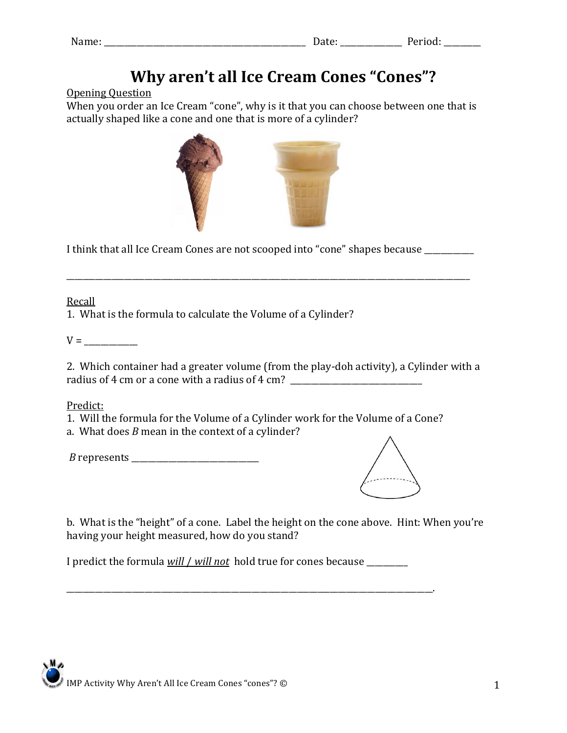| Name: | ---<br>o u con | $-$<br>u ivu. |
|-------|----------------|---------------|

# **Why aren't all Ice Cream Cones "Cones"?**

#### **Opening Ouestion**

When you order an Ice Cream "cone", why is it that you can choose between one that is actually shaped like a cone and one that is more of a cylinder?



I think that all Ice Cream Cones are not scooped into "cone" shapes because \_\_\_\_\_\_\_\_\_\_

Recall

1. What is the formula to calculate the Volume of a Cylinder?

 $V =$ 

2. Which container had a greater volume (from the play-doh activity), a Cylinder with a radius of 4 cm or a cone with a radius of 4 cm? \_\_\_\_\_\_\_\_\_\_\_\_\_\_\_\_\_\_\_\_\_\_\_\_\_\_\_\_\_\_\_\_

Predict:

1. Will the formula for the Volume of a Cylinder work for the Volume of a Cone?

a. What does *B* mean in the context of a cylinder?



b. What is the "height" of a cone. Label the height on the cone above. Hint: When you're having your height measured, how do you stand?

I predict the formula will / will not hold true for cones because

IMP Activity Why Aren't All Ice Cream Cones "cones"? ©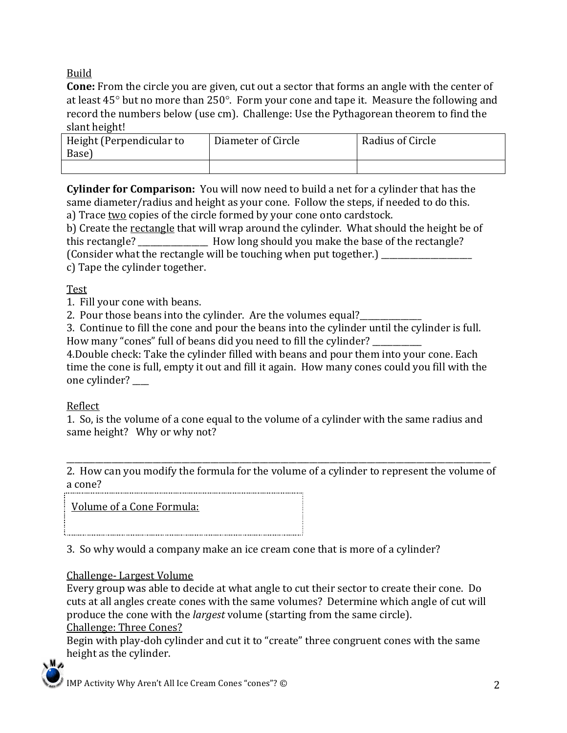Build

**Cone:** From the circle you are given, cut out a sector that forms an angle with the center of at least  $45^{\circ}$  but no more than  $250^{\circ}$ . Form your cone and tape it. Measure the following and record the numbers below (use cm). Challenge: Use the Pythagorean theorem to find the slant height!

| Height (Perpendicular to<br>Base) | Diameter of Circle | Radius of Circle |
|-----------------------------------|--------------------|------------------|
|                                   |                    |                  |

**Cylinder for Comparison:** You will now need to build a net for a cylinder that has the same diameter/radius and height as your cone. Follow the steps, if needed to do this. a) Trace two copies of the circle formed by your cone onto cardstock.

b) Create the rectangle that will wrap around the cylinder. What should the height be of this rectangle? \_\_\_\_\_\_\_\_\_\_\_\_\_\_\_\_\_\_ How long should you make the base of the rectangle? (Consider what the rectangle will be touching when put together.) \_\_\_\_\_\_\_\_

c) Tape the cylinder together.

Test

1. Fill your cone with beans.

2. Pour those beans into the cylinder. Are the volumes equal?

3. Continue to fill the cone and pour the beans into the cylinder until the cylinder is full. How many "cones" full of beans did you need to fill the cylinder?

4. Double check: Take the cylinder filled with beans and pour them into your cone. Each time the cone is full, empty it out and fill it again. How many cones could you fill with the one cylinder?

# Reflect

1. So, is the volume of a cone equal to the volume of a cylinder with the same radius and same height? Why or why not?

2. How can you modify the formula for the volume of a cylinder to represent the volume of a cone? 

Volume of a Cone Formula:

3. So why would a company make an ice cream cone that is more of a cylinder?

# Challenge-Largest Volume

Every group was able to decide at what angle to cut their sector to create their cone. Do cuts at all angles create cones with the same volumes? Determine which angle of cut will produce the cone with the *largest* volume (starting from the same circle). **Challenge: Three Cones?** 

Begin with play-doh cylinder and cut it to "create" three congruent cones with the same height as the cylinder.

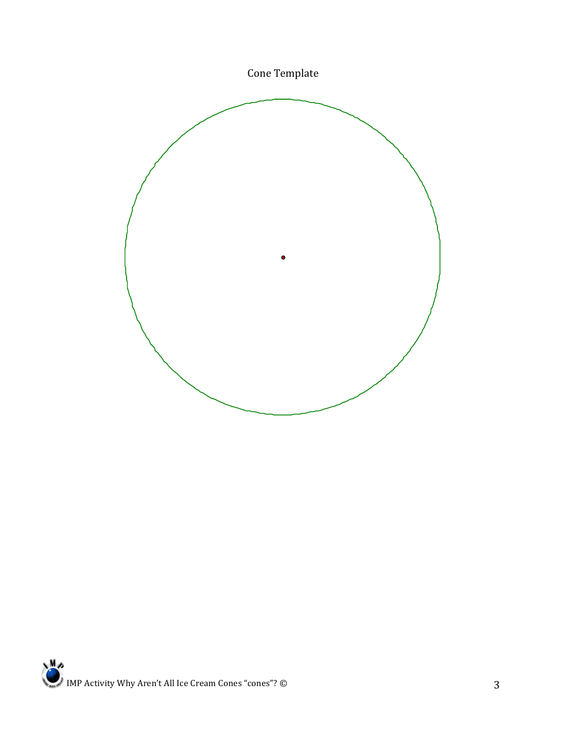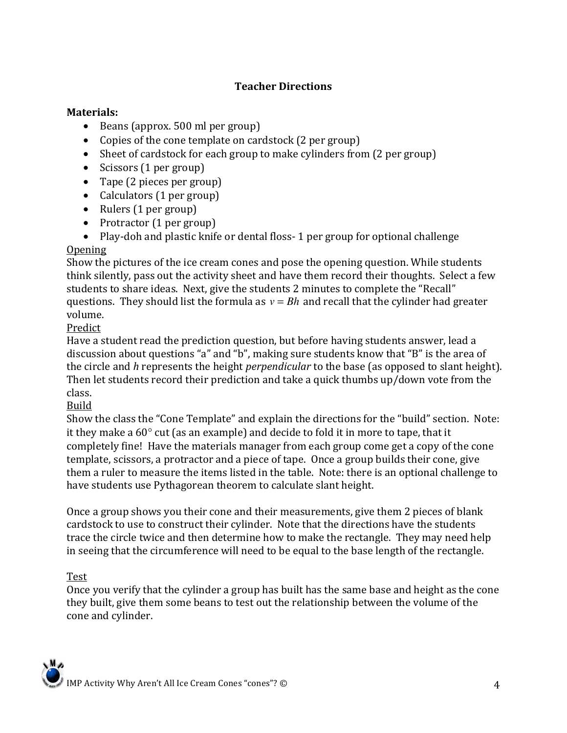# **Teacher\$Directions**

#### **Materials:**

- Beans (approx.  $500$  ml per group)
- Copies of the cone template on cardstock  $(2 \text{ per group})$
- Sheet of cardstock for each group to make cylinders from  $(2 \text{ per group})$
- Scissors  $(1 \text{ per group})$
- Tape (2 pieces per group)
- Calculators  $(1 \text{ per group})$
- Rulers  $(1$  per group)
- Protractor  $(1 \text{ per group})$
- Play-doh and plastic knife or dental floss- 1 per group for optional challenge **Opening**

Show the pictures of the ice cream cones and pose the opening question. While students think silently, pass out the activity sheet and have them record their thoughts. Select a few students to share ideas. Next, give the students 2 minutes to complete the "Recall" questions. They should list the formula as  $v = Bh$  and recall that the cylinder had greater volume.

## Predict

discussion about questions "a" and "b", making sure students know that "B" is the area of Have a student read the prediction question, but before having students answer, lead a the circle and *h* represents the height *perpendicular* to the base (as opposed to slant height). Then let students record their prediction and take a quick thumbs up/down vote from the class.

#### Build

Show the class the "Cone Template" and explain the directions for the "build" section. Note: it they make a  $60^\circ$  cut (as an example) and decide to fold it in more to tape, that it completely fine! Have the materials manager from each group come get a copy of the cone template, scissors, a protractor and a piece of tape. Once a group builds their cone, give them a ruler to measure the items listed in the table. Note: there is an optional challenge to have students use Pythagorean theorem to calculate slant height.

Once a group shows you their cone and their measurements, give them 2 pieces of blank cardstock to use to construct their cylinder. Note that the directions have the students trace the circle twice and then determine how to make the rectangle. They may need help in seeing that the circumference will need to be equal to the base length of the rectangle.

#### Test

Once you verify that the cylinder a group has built has the same base and height as the cone they built, give them some beans to test out the relationship between the volume of the cone and cylinder.